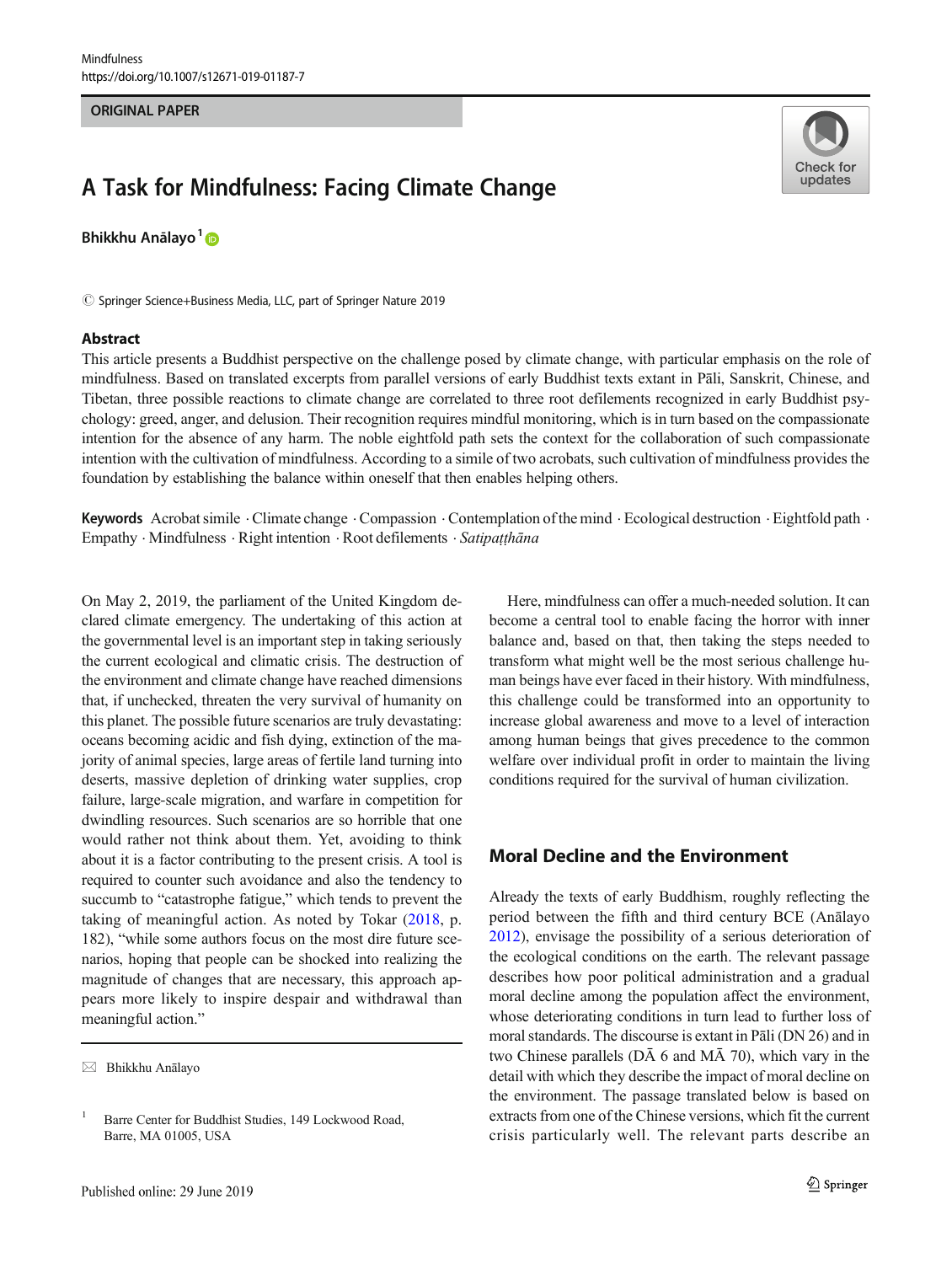#### ORIGINAL PAPER

# A Task for Mindfulness: Facing Climate Change

Bhikkhu Anālayo<sup>1</sup>®

© Springer Science+Business Media, LLC, part of Springer Nature 2019

#### Abstract



This article presents a Buddhist perspective on the challenge posed by climate change, with particular emphasis on the role of mindfulness. Based on translated excerpts from parallel versions of early Buddhist texts extant in Pāli, Sanskrit, Chinese, and Tibetan, three possible reactions to climate change are correlated to three root defilements recognized in early Buddhist psychology: greed, anger, and delusion. Their recognition requires mindful monitoring, which is in turn based on the compassionate intention for the absence of any harm. The noble eightfold path sets the context for the collaboration of such compassionate intention with the cultivation of mindfulness. According to a simile of two acrobats, such cultivation of mindfulness provides the foundation by establishing the balance within oneself that then enables helping others.

Keywords Acrobat simile .Climate change .Compassion .Contemplation of the mind . Ecological destruction . Eightfold path . Empathy · Mindfulness · Right intention · Root defilements · Satipaṭṭhāna

On May 2, 2019, the parliament of the United Kingdom declared climate emergency. The undertaking of this action at the governmental level is an important step in taking seriously the current ecological and climatic crisis. The destruction of the environment and climate change have reached dimensions that, if unchecked, threaten the very survival of humanity on this planet. The possible future scenarios are truly devastating: oceans becoming acidic and fish dying, extinction of the majority of animal species, large areas of fertile land turning into deserts, massive depletion of drinking water supplies, crop failure, large-scale migration, and warfare in competition for dwindling resources. Such scenarios are so horrible that one would rather not think about them. Yet, avoiding to think about it is a factor contributing to the present crisis. A tool is required to counter such avoidance and also the tendency to succumb to "catastrophe fatigue," which tends to prevent the taking of meaningful action. As noted by Tokar [\(2018](#page-9-0), p. 182), "while some authors focus on the most dire future scenarios, hoping that people can be shocked into realizing the magnitude of changes that are necessary, this approach appears more likely to inspire despair and withdrawal than meaningful action."

Here, mindfulness can offer a much-needed solution. It can become a central tool to enable facing the horror with inner balance and, based on that, then taking the steps needed to transform what might well be the most serious challenge human beings have ever faced in their history. With mindfulness, this challenge could be transformed into an opportunity to increase global awareness and move to a level of interaction among human beings that gives precedence to the common welfare over individual profit in order to maintain the living conditions required for the survival of human civilization.

### Moral Decline and the Environment

Already the texts of early Buddhism, roughly reflecting the period between the fifth and third century BCE (Anālayo [2012\)](#page-9-0), envisage the possibility of a serious deterioration of the ecological conditions on the earth. The relevant passage describes how poor political administration and a gradual moral decline among the population affect the environment, whose deteriorating conditions in turn lead to further loss of moral standards. The discourse is extant in Pāli (DN 26) and in two Chinese parallels ( $D\bar{A}$  6 and  $M\bar{A}$  70), which vary in the detail with which they describe the impact of moral decline on the environment. The passage translated below is based on extracts from one of the Chinese versions, which fit the current crisis particularly well. The relevant parts describe an

 $\boxtimes$  Bhikkhu Anālayo

<sup>&</sup>lt;sup>1</sup> Barre Center for Buddhist Studies, 149 Lockwood Road, Barre, MA 01005, USA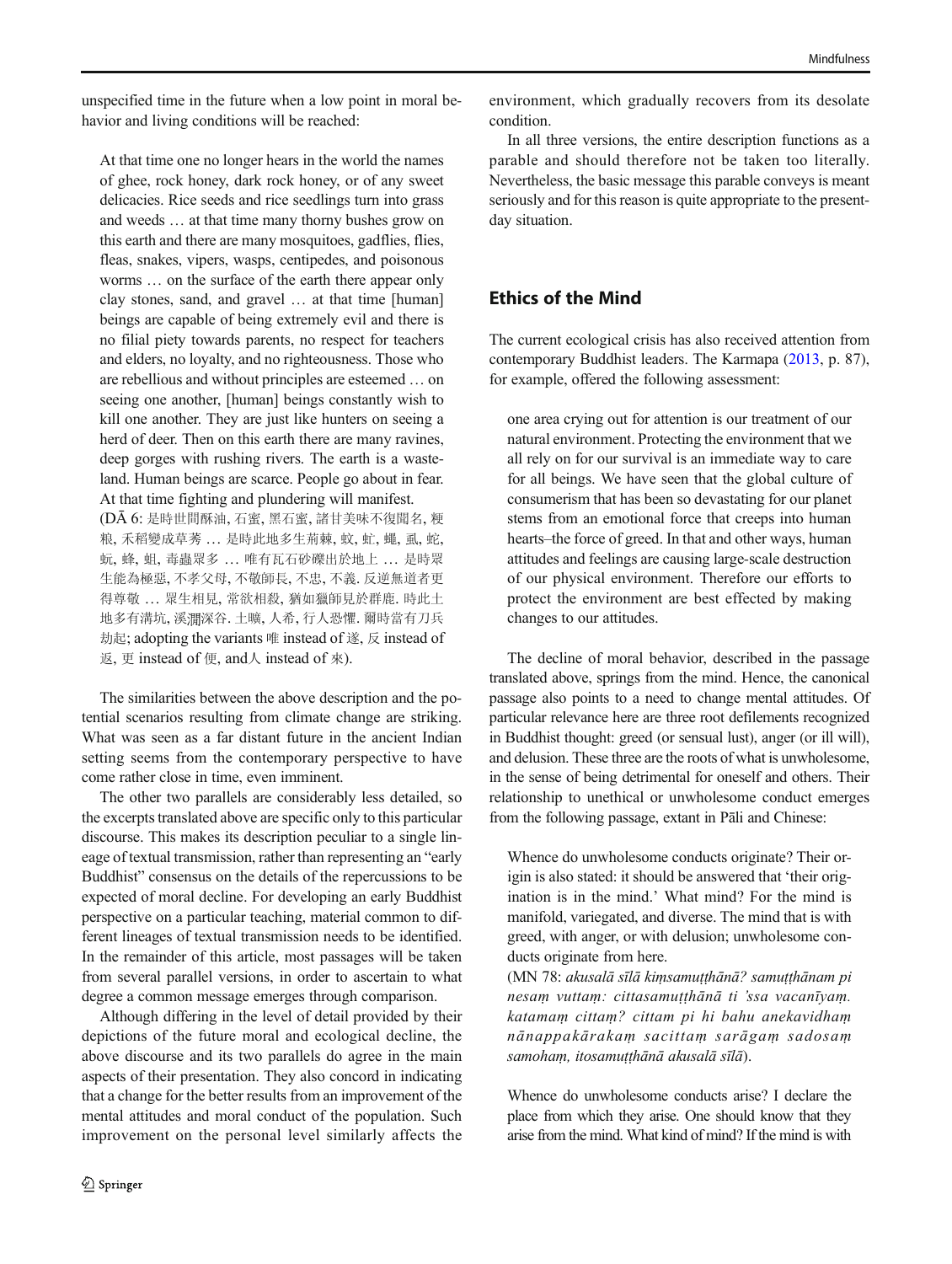unspecified time in the future when a low point in moral behavior and living conditions will be reached:

At that time one no longer hears in the world the names of ghee, rock honey, dark rock honey, or of any sweet delicacies. Rice seeds and rice seedlings turn into grass and weeds … at that time many thorny bushes grow on this earth and there are many mosquitoes, gadflies, flies, fleas, snakes, vipers, wasps, centipedes, and poisonous worms … on the surface of the earth there appear only clay stones, sand, and gravel … at that time [human] beings are capable of being extremely evil and there is no filial piety towards parents, no respect for teachers and elders, no loyalty, and no righteousness. Those who are rebellious and without principles are esteemed … on seeing one another, [human] beings constantly wish to kill one another. They are just like hunters on seeing a herd of deer. Then on this earth there are many ravines, deep gorges with rushing rivers. The earth is a wasteland. Human beings are scarce. People go about in fear. At that time fighting and plundering will manifest.

(DĀ 6: 是時世間酥油, 石蜜, 黑石蜜, 諸甘美味不復聞名, 粳 粮, 禾稻變成草莠 … 是時此地多生荊棘, 蚊, 虻, 蠅, 虱, 蛇, 蚖, 蜂, 蛆, 毒蟲眾多 … 唯有瓦石砂礫出於地上 … 是時眾 生能為極惡, 不孝父母, 不敬師長, 不忠, 不義. 反逆無道者更 得尊敬 … 眾生相見, 常欲相殺, 猶如獵師見於群鹿. 時此土 地多有溝坑, 溪 深谷. 土曠, 人希, 行人恐懼. 爾時當有刀兵 劫起; adopting the variants 唯 instead of 遂, 反 instead of 返, 更 instead of 便, and人 instead of 來).

The similarities between the above description and the potential scenarios resulting from climate change are striking. What was seen as a far distant future in the ancient Indian setting seems from the contemporary perspective to have come rather close in time, even imminent.

The other two parallels are considerably less detailed, so the excerpts translated above are specific only to this particular discourse. This makes its description peculiar to a single lineage of textual transmission, rather than representing an "early Buddhist" consensus on the details of the repercussions to be expected of moral decline. For developing an early Buddhist perspective on a particular teaching, material common to different lineages of textual transmission needs to be identified. In the remainder of this article, most passages will be taken from several parallel versions, in order to ascertain to what degree a common message emerges through comparison.

Although differing in the level of detail provided by their depictions of the future moral and ecological decline, the above discourse and its two parallels do agree in the main aspects of their presentation. They also concord in indicating that a change for the better results from an improvement of the mental attitudes and moral conduct of the population. Such improvement on the personal level similarly affects the

environment, which gradually recovers from its desolate condition.

In all three versions, the entire description functions as a parable and should therefore not be taken too literally. Nevertheless, the basic message this parable conveys is meant seriously and for this reason is quite appropriate to the presentday situation.

## Ethics of the Mind

The current ecological crisis has also received attention from contemporary Buddhist leaders. The Karmapa ([2013](#page-9-0), p. 87), for example, offered the following assessment:

one area crying out for attention is our treatment of our natural environment. Protecting the environment that we all rely on for our survival is an immediate way to care for all beings. We have seen that the global culture of consumerism that has been so devastating for our planet stems from an emotional force that creeps into human hearts–the force of greed. In that and other ways, human attitudes and feelings are causing large-scale destruction of our physical environment. Therefore our efforts to protect the environment are best effected by making changes to our attitudes.

The decline of moral behavior, described in the passage translated above, springs from the mind. Hence, the canonical passage also points to a need to change mental attitudes. Of particular relevance here are three root defilements recognized in Buddhist thought: greed (or sensual lust), anger (or ill will), and delusion. These three are the roots of what is unwholesome, in the sense of being detrimental for oneself and others. Their relationship to unethical or unwholesome conduct emerges from the following passage, extant in Pāli and Chinese:

Whence do unwholesome conducts originate? Their origin is also stated: it should be answered that 'their origination is in the mind.' What mind? For the mind is manifold, variegated, and diverse. The mind that is with greed, with anger, or with delusion; unwholesome conducts originate from here.

(MN 78: akusalā sīlā kiṃsamuṭṭhānā? samuṭṭhānam pi nesaṃ vuttaṃ: cittasamuṭṭhānā ti 'ssa vacanīyaṃ. katamaṃ cittaṃ? cittam pi hi bahu anekavidhaṃ nānappakārakaṃ sacittaṃ sarāgaṃ sadosaṃ samoham, itosamutthānā akusalā sīlā).

Whence do unwholesome conducts arise? I declare the place from which they arise. One should know that they arise from the mind. What kind of mind? If the mind is with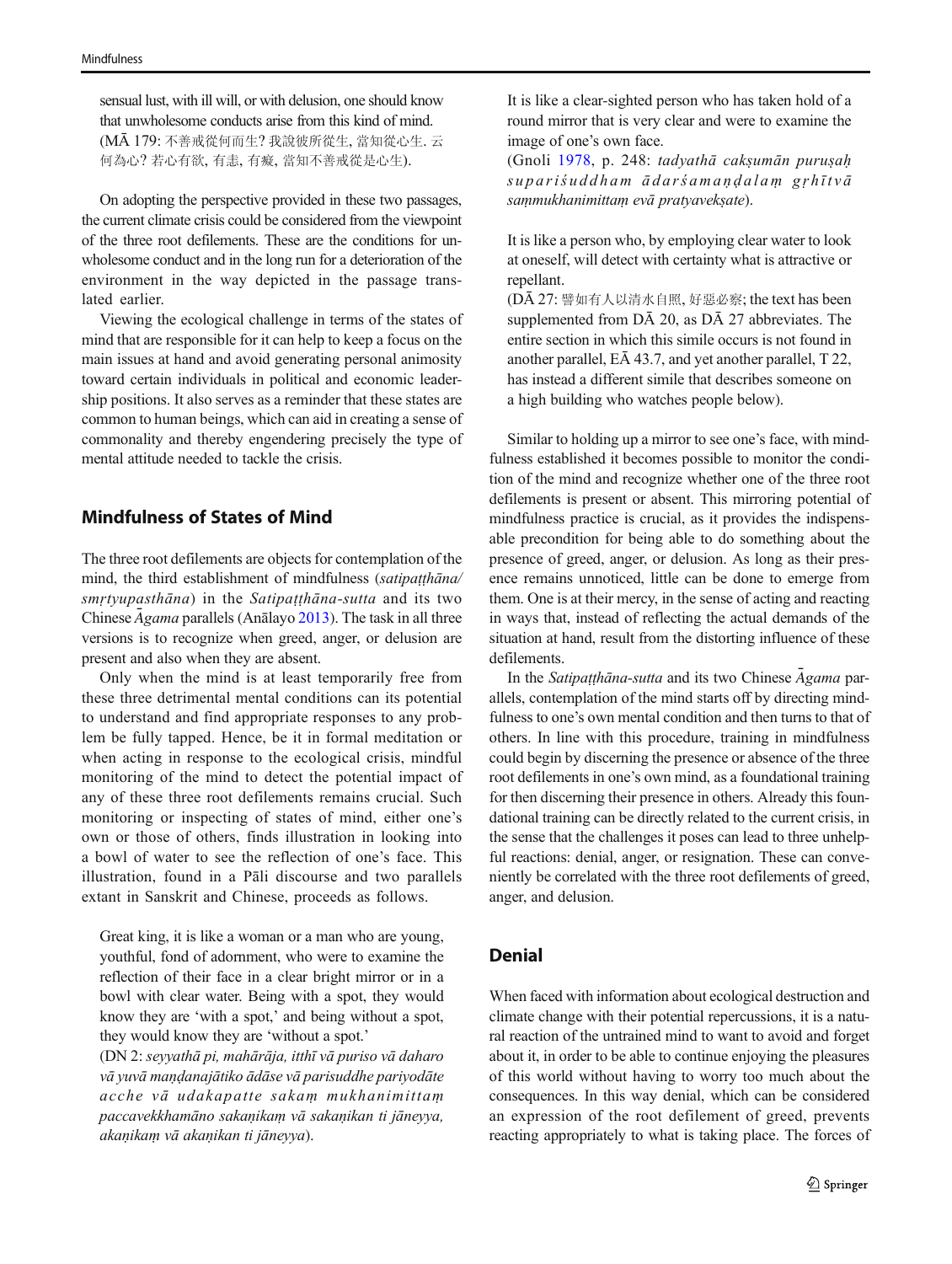sensual lust, with ill will, or with delusion, one should know that unwholesome conducts arise from this kind of mind. (MĀ 179: 不善戒從何而生? 我說彼所從生, 當知從心生. 云 何為心? 若心有欲, 有恚, 有癡, 當知不善戒從是心生).

On adopting the perspective provided in these two passages, the current climate crisis could be considered from the viewpoint of the three root defilements. These are the conditions for unwholesome conduct and in the long run for a deterioration of the environment in the way depicted in the passage translated earlier.

Viewing the ecological challenge in terms of the states of mind that are responsible for it can help to keep a focus on the main issues at hand and avoid generating personal animosity toward certain individuals in political and economic leadership positions. It also serves as a reminder that these states are common to human beings, which can aid in creating a sense of commonality and thereby engendering precisely the type of mental attitude needed to tackle the crisis.

## Mindfulness of States of Mind

The three root defilements are objects for contemplation of the mind, the third establishment of mindfulness (satipatthāna/ smrtyupasthāna) in the Satipaṭṭhāna-sutta and its two Chinese Āgama parallels (Anālayo [2013](#page-9-0)). The task in all three versions is to recognize when greed, anger, or delusion are present and also when they are absent.

Only when the mind is at least temporarily free from these three detrimental mental conditions can its potential to understand and find appropriate responses to any problem be fully tapped. Hence, be it in formal meditation or when acting in response to the ecological crisis, mindful monitoring of the mind to detect the potential impact of any of these three root defilements remains crucial. Such monitoring or inspecting of states of mind, either one's own or those of others, finds illustration in looking into a bowl of water to see the reflection of one's face. This illustration, found in a Pāli discourse and two parallels extant in Sanskrit and Chinese, proceeds as follows.

Great king, it is like a woman or a man who are young, youthful, fond of adornment, who were to examine the reflection of their face in a clear bright mirror or in a bowl with clear water. Being with a spot, they would know they are 'with a spot,' and being without a spot, they would know they are 'without a spot.'

(DN 2: seyyathā pi, mahārāja, itthī vā puriso vā daharo vā yuvā maṇḍanajātiko ādāse vā parisuddhe pariyodāte acche vā udakapatte sakaṃ mukhanimittaṃ paccavekkhamāno sakaṇikaṃ vā sakaṇikan ti jāneyya, akaṇikaṃ vā akaṇikan ti jāneyya).

It is like a clear-sighted person who has taken hold of a round mirror that is very clear and were to examine the image of one's own face.

(Gnoli [1978,](#page-9-0) p. 248: tadyathā caksumān purusah supariś uddham ādarś amandalam grhītvā saṃmukhanimittaṃ evā pratyavekṣate).

It is like a person who, by employing clear water to look at oneself, will detect with certainty what is attractive or repellant.

(DĀ 27: 譬如有人以清水自照, 好惡必察; the text has been supplemented from  $D\bar{A}$  20, as  $D\bar{A}$  27 abbreviates. The entire section in which this simile occurs is not found in another parallel, EĀ 43.7, and yet another parallel, T 22, has instead a different simile that describes someone on a high building who watches people below).

Similar to holding up a mirror to see one's face, with mindfulness established it becomes possible to monitor the condition of the mind and recognize whether one of the three root defilements is present or absent. This mirroring potential of mindfulness practice is crucial, as it provides the indispensable precondition for being able to do something about the presence of greed, anger, or delusion. As long as their presence remains unnoticed, little can be done to emerge from them. One is at their mercy, in the sense of acting and reacting in ways that, instead of reflecting the actual demands of the situation at hand, result from the distorting influence of these defilements.

In the Satipaṭṭhāna-sutta and its two Chinese Agama parallels, contemplation of the mind starts off by directing mindfulness to one's own mental condition and then turns to that of others. In line with this procedure, training in mindfulness could begin by discerning the presence or absence of the three root defilements in one's own mind, as a foundational training for then discerning their presence in others. Already this foundational training can be directly related to the current crisis, in the sense that the challenges it poses can lead to three unhelpful reactions: denial, anger, or resignation. These can conveniently be correlated with the three root defilements of greed, anger, and delusion.

#### Denial

When faced with information about ecological destruction and climate change with their potential repercussions, it is a natural reaction of the untrained mind to want to avoid and forget about it, in order to be able to continue enjoying the pleasures of this world without having to worry too much about the consequences. In this way denial, which can be considered an expression of the root defilement of greed, prevents reacting appropriately to what is taking place. The forces of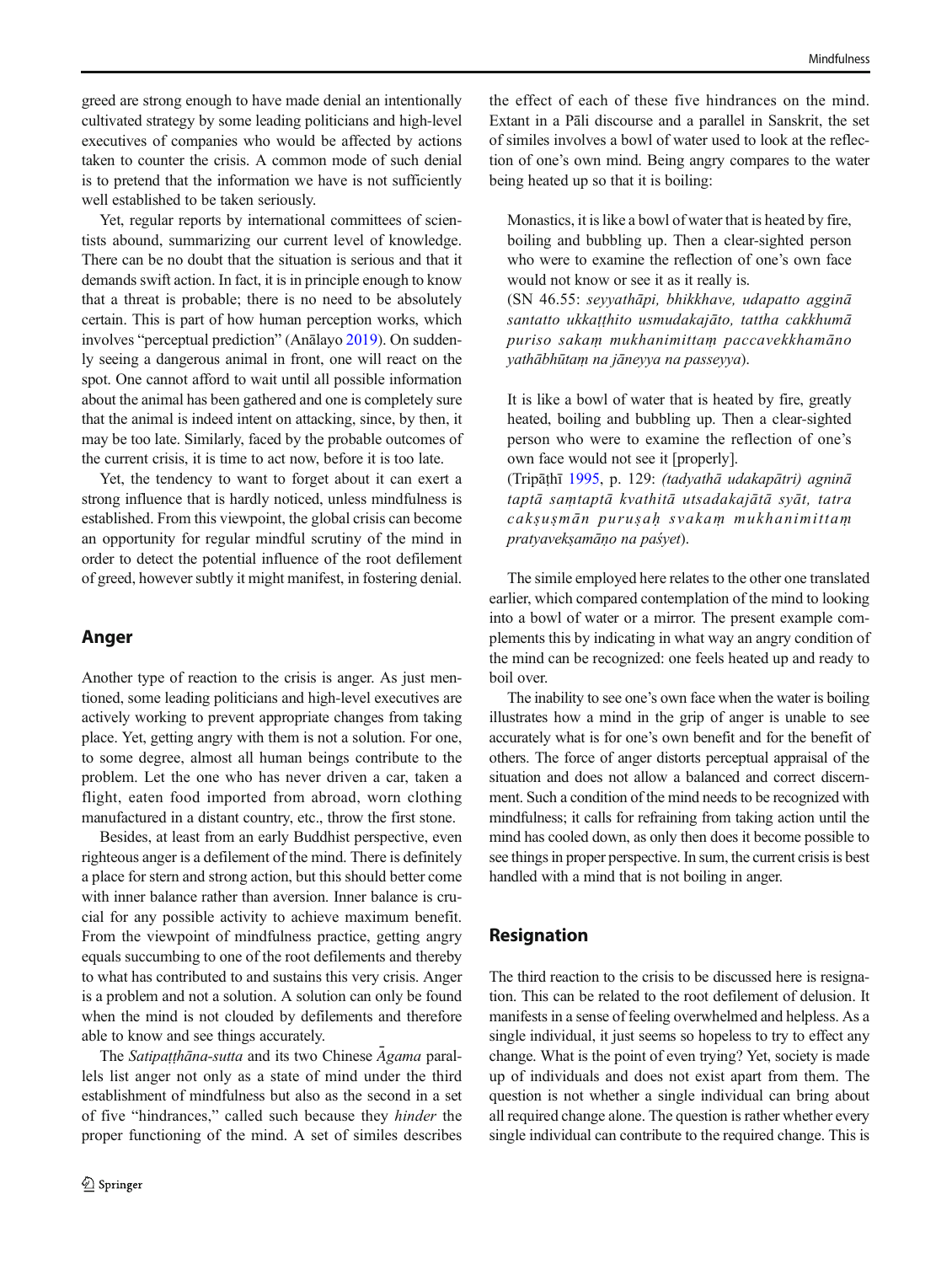greed are strong enough to have made denial an intentionally cultivated strategy by some leading politicians and high-level executives of companies who would be affected by actions taken to counter the crisis. A common mode of such denial is to pretend that the information we have is not sufficiently well established to be taken seriously.

Yet, regular reports by international committees of scientists abound, summarizing our current level of knowledge. There can be no doubt that the situation is serious and that it demands swift action. In fact, it is in principle enough to know that a threat is probable; there is no need to be absolutely certain. This is part of how human perception works, which involves "perceptual prediction" (Anālayo [2019](#page-9-0)). On suddenly seeing a dangerous animal in front, one will react on the spot. One cannot afford to wait until all possible information about the animal has been gathered and one is completely sure that the animal is indeed intent on attacking, since, by then, it may be too late. Similarly, faced by the probable outcomes of the current crisis, it is time to act now, before it is too late.

Yet, the tendency to want to forget about it can exert a strong influence that is hardly noticed, unless mindfulness is established. From this viewpoint, the global crisis can become an opportunity for regular mindful scrutiny of the mind in order to detect the potential influence of the root defilement of greed, however subtly it might manifest, in fostering denial.

#### Anger

Another type of reaction to the crisis is anger. As just mentioned, some leading politicians and high-level executives are actively working to prevent appropriate changes from taking place. Yet, getting angry with them is not a solution. For one, to some degree, almost all human beings contribute to the problem. Let the one who has never driven a car, taken a flight, eaten food imported from abroad, worn clothing manufactured in a distant country, etc., throw the first stone.

Besides, at least from an early Buddhist perspective, even righteous anger is a defilement of the mind. There is definitely a place for stern and strong action, but this should better come with inner balance rather than aversion. Inner balance is crucial for any possible activity to achieve maximum benefit. From the viewpoint of mindfulness practice, getting angry equals succumbing to one of the root defilements and thereby to what has contributed to and sustains this very crisis. Anger is a problem and not a solution. A solution can only be found when the mind is not clouded by defilements and therefore able to know and see things accurately.

The Satipaṭṭhāna-sutta and its two Chinese Agama parallels list anger not only as a state of mind under the third establishment of mindfulness but also as the second in a set of five "hindrances," called such because they hinder the proper functioning of the mind. A set of similes describes

the effect of each of these five hindrances on the mind. Extant in a Pāli discourse and a parallel in Sanskrit, the set of similes involves a bowl of water used to look at the reflection of one's own mind. Being angry compares to the water being heated up so that it is boiling:

Monastics, it is like a bowl of water that is heated by fire, boiling and bubbling up. Then a clear-sighted person who were to examine the reflection of one's own face would not know or see it as it really is.

(SN 46.55: seyyathāpi, bhikkhave, udapatto agginā santatto ukkaṭṭhito usmudakajāto, tattha cakkhumā puriso sakaṃ mukhanimittaṃ paccavekkhamāno yathābhūtaṃ na jāneyya na passeyya).

It is like a bowl of water that is heated by fire, greatly heated, boiling and bubbling up. Then a clear-sighted person who were to examine the reflection of one's own face would not see it [properly].

(Tripāṭhī [1995](#page-9-0), p. 129: (tadyathā udakapātri) agninā taptā saṃtaptā kvathitā utsadakajātā syāt, tatra cakṣuṣmān puruṣaḥ svakaṃ mukhanimittaṃ pratyavekṣamāṇo na paśyet).

The simile employed here relates to the other one translated earlier, which compared contemplation of the mind to looking into a bowl of water or a mirror. The present example complements this by indicating in what way an angry condition of the mind can be recognized: one feels heated up and ready to boil over.

The inability to see one's own face when the water is boiling illustrates how a mind in the grip of anger is unable to see accurately what is for one's own benefit and for the benefit of others. The force of anger distorts perceptual appraisal of the situation and does not allow a balanced and correct discernment. Such a condition of the mind needs to be recognized with mindfulness; it calls for refraining from taking action until the mind has cooled down, as only then does it become possible to see things in proper perspective. In sum, the current crisis is best handled with a mind that is not boiling in anger.

#### Resignation

The third reaction to the crisis to be discussed here is resignation. This can be related to the root defilement of delusion. It manifests in a sense of feeling overwhelmed and helpless. As a single individual, it just seems so hopeless to try to effect any change. What is the point of even trying? Yet, society is made up of individuals and does not exist apart from them. The question is not whether a single individual can bring about all required change alone. The question is rather whether every single individual can contribute to the required change. This is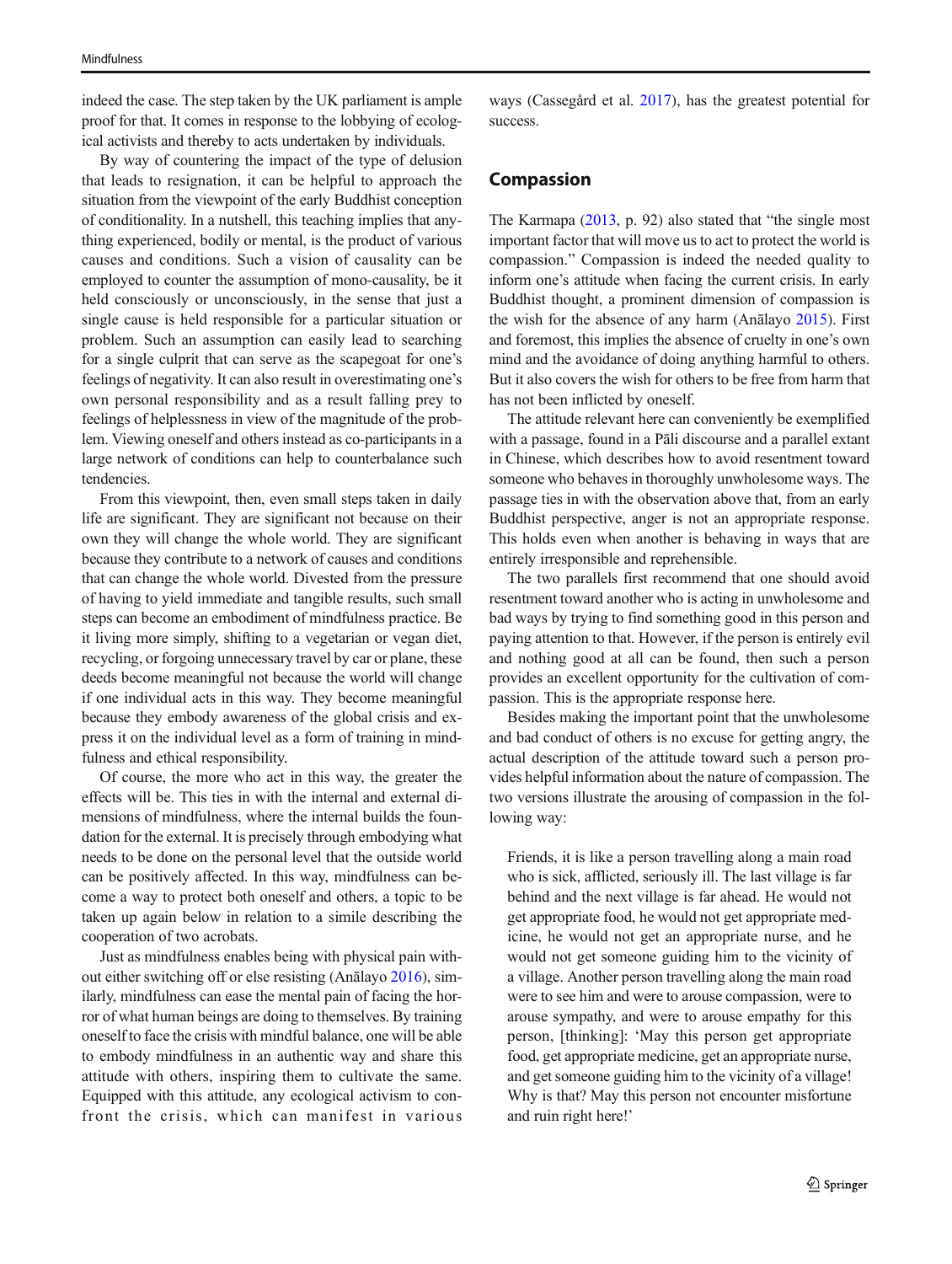indeed the case. The step taken by the UK parliament is ample proof for that. It comes in response to the lobbying of ecological activists and thereby to acts undertaken by individuals.

By way of countering the impact of the type of delusion that leads to resignation, it can be helpful to approach the situation from the viewpoint of the early Buddhist conception of conditionality. In a nutshell, this teaching implies that anything experienced, bodily or mental, is the product of various causes and conditions. Such a vision of causality can be employed to counter the assumption of mono-causality, be it held consciously or unconsciously, in the sense that just a single cause is held responsible for a particular situation or problem. Such an assumption can easily lead to searching for a single culprit that can serve as the scapegoat for one's feelings of negativity. It can also result in overestimating one's own personal responsibility and as a result falling prey to feelings of helplessness in view of the magnitude of the problem. Viewing oneself and others instead as co-participants in a large network of conditions can help to counterbalance such tendencies.

From this viewpoint, then, even small steps taken in daily life are significant. They are significant not because on their own they will change the whole world. They are significant because they contribute to a network of causes and conditions that can change the whole world. Divested from the pressure of having to yield immediate and tangible results, such small steps can become an embodiment of mindfulness practice. Be it living more simply, shifting to a vegetarian or vegan diet, recycling, or forgoing unnecessary travel by car or plane, these deeds become meaningful not because the world will change if one individual acts in this way. They become meaningful because they embody awareness of the global crisis and express it on the individual level as a form of training in mindfulness and ethical responsibility.

Of course, the more who act in this way, the greater the effects will be. This ties in with the internal and external dimensions of mindfulness, where the internal builds the foundation for the external. It is precisely through embodying what needs to be done on the personal level that the outside world can be positively affected. In this way, mindfulness can become a way to protect both oneself and others, a topic to be taken up again below in relation to a simile describing the cooperation of two acrobats.

Just as mindfulness enables being with physical pain without either switching off or else resisting (Anālayo [2016](#page-9-0)), similarly, mindfulness can ease the mental pain of facing the horror of what human beings are doing to themselves. By training oneself to face the crisis with mindful balance, one will be able to embody mindfulness in an authentic way and share this attitude with others, inspiring them to cultivate the same. Equipped with this attitude, any ecological activism to confront the crisis, which can manifest in various

ways (Cassegård et al. [2017](#page-9-0)), has the greatest potential for success.

#### Compassion

The Karmapa [\(2013,](#page-9-0) p. 92) also stated that "the single most important factor that will move us to act to protect the world is compassion." Compassion is indeed the needed quality to inform one's attitude when facing the current crisis. In early Buddhist thought, a prominent dimension of compassion is the wish for the absence of any harm (Anālayo [2015\)](#page-9-0). First and foremost, this implies the absence of cruelty in one's own mind and the avoidance of doing anything harmful to others. But it also covers the wish for others to be free from harm that has not been inflicted by oneself.

The attitude relevant here can conveniently be exemplified with a passage, found in a Pāli discourse and a parallel extant in Chinese, which describes how to avoid resentment toward someone who behaves in thoroughly unwholesome ways. The passage ties in with the observation above that, from an early Buddhist perspective, anger is not an appropriate response. This holds even when another is behaving in ways that are entirely irresponsible and reprehensible.

The two parallels first recommend that one should avoid resentment toward another who is acting in unwholesome and bad ways by trying to find something good in this person and paying attention to that. However, if the person is entirely evil and nothing good at all can be found, then such a person provides an excellent opportunity for the cultivation of compassion. This is the appropriate response here.

Besides making the important point that the unwholesome and bad conduct of others is no excuse for getting angry, the actual description of the attitude toward such a person provides helpful information about the nature of compassion. The two versions illustrate the arousing of compassion in the following way:

Friends, it is like a person travelling along a main road who is sick, afflicted, seriously ill. The last village is far behind and the next village is far ahead. He would not get appropriate food, he would not get appropriate medicine, he would not get an appropriate nurse, and he would not get someone guiding him to the vicinity of a village. Another person travelling along the main road were to see him and were to arouse compassion, were to arouse sympathy, and were to arouse empathy for this person, [thinking]: 'May this person get appropriate food, get appropriate medicine, get an appropriate nurse, and get someone guiding him to the vicinity of a village! Why is that? May this person not encounter misfortune and ruin right here!'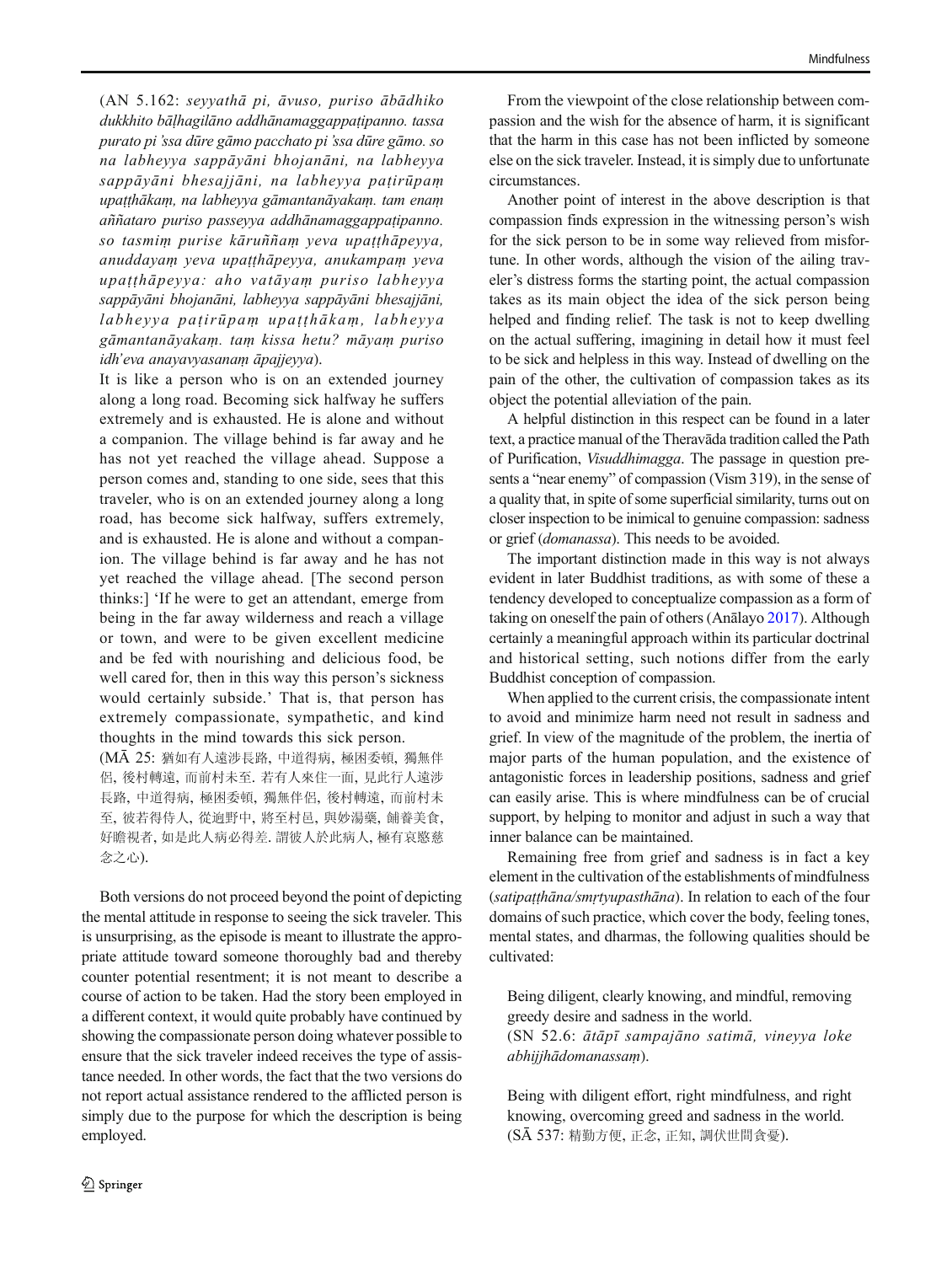(AN 5.162: seyyathā pi, āvuso, puriso ābādhiko dukkhito bāḷhagilāno addhānamaggappaṭipanno. tassa purato pi 'ssa dūre gāmo pacchato pi 'ssa dūre gāmo. so na labheyya sappāyāni bhojanāni, na labheyya sappāyāni bhesajjāni, na labheyya patirūpam upaṭṭhākaṃ, na labheyya gāmantanāyakaṃ. tam enaṃ aññataro puriso passeyya addhānamaggappaṭipanno. so tasmiṃ purise kāruññaṃ yeva upaṭṭhāpeyya, anuddayaṃ yeva upaṭṭhāpeyya, anukampaṃ yeva upaṭṭhāpeyya: aho vatāyaṃ puriso labheyya sappāyāni bhojanāni, labheyya sappāyāni bhesajjāni, labheyya paṭirūpaṃ upaṭṭhākaṃ, labheyya gāmantanāyakaṃ. taṃ kissa hetu? māyaṃ puriso idh'eva anayavyasanaṃ āpajjeyya).

It is like a person who is on an extended journey along a long road. Becoming sick halfway he suffers extremely and is exhausted. He is alone and without a companion. The village behind is far away and he has not yet reached the village ahead. Suppose a person comes and, standing to one side, sees that this traveler, who is on an extended journey along a long road, has become sick halfway, suffers extremely, and is exhausted. He is alone and without a companion. The village behind is far away and he has not yet reached the village ahead. [The second person thinks:] 'If he were to get an attendant, emerge from being in the far away wilderness and reach a village or town, and were to be given excellent medicine and be fed with nourishing and delicious food, be well cared for, then in this way this person's sickness would certainly subside.' That is, that person has extremely compassionate, sympathetic, and kind thoughts in the mind towards this sick person.

(MĀ 25: 猶如有人遠涉長路, 中道得病, 極困委頓, 獨無伴 侶, 後村轉遠, 而前村未至. 若有人來住一面, 見此行人遠涉 長路, 中道得病, 極困委頓, 獨無伴侶, 後村轉遠, 而前村未 至, 彼若得侍人, 從逈野中, 將至村邑, 與妙湯藥, 餔養美食, 好瞻視者, 如是此人病必得差. 謂彼人於此病人, 極有哀愍慈 念之心).

Both versions do not proceed beyond the point of depicting the mental attitude in response to seeing the sick traveler. This is unsurprising, as the episode is meant to illustrate the appropriate attitude toward someone thoroughly bad and thereby counter potential resentment; it is not meant to describe a course of action to be taken. Had the story been employed in a different context, it would quite probably have continued by showing the compassionate person doing whatever possible to ensure that the sick traveler indeed receives the type of assistance needed. In other words, the fact that the two versions do not report actual assistance rendered to the afflicted person is simply due to the purpose for which the description is being employed.

From the viewpoint of the close relationship between compassion and the wish for the absence of harm, it is significant that the harm in this case has not been inflicted by someone else on the sick traveler. Instead, it is simply due to unfortunate circumstances.

Another point of interest in the above description is that compassion finds expression in the witnessing person's wish for the sick person to be in some way relieved from misfortune. In other words, although the vision of the ailing traveler's distress forms the starting point, the actual compassion takes as its main object the idea of the sick person being helped and finding relief. The task is not to keep dwelling on the actual suffering, imagining in detail how it must feel to be sick and helpless in this way. Instead of dwelling on the pain of the other, the cultivation of compassion takes as its object the potential alleviation of the pain.

A helpful distinction in this respect can be found in a later text, a practice manual of the Theravāda tradition called the Path of Purification, Visuddhimagga. The passage in question presents a "near enemy" of compassion (Vism 319), in the sense of a quality that, in spite of some superficial similarity, turns out on closer inspection to be inimical to genuine compassion: sadness or grief (domanassa). This needs to be avoided.

The important distinction made in this way is not always evident in later Buddhist traditions, as with some of these a tendency developed to conceptualize compassion as a form of taking on oneself the pain of others (Anālayo [2017\)](#page-9-0). Although certainly a meaningful approach within its particular doctrinal and historical setting, such notions differ from the early Buddhist conception of compassion.

When applied to the current crisis, the compassionate intent to avoid and minimize harm need not result in sadness and grief. In view of the magnitude of the problem, the inertia of major parts of the human population, and the existence of antagonistic forces in leadership positions, sadness and grief can easily arise. This is where mindfulness can be of crucial support, by helping to monitor and adjust in such a way that inner balance can be maintained.

Remaining free from grief and sadness is in fact a key element in the cultivation of the establishments of mindfulness (satipatthāna/smrtyupasthāna). In relation to each of the four domains of such practice, which cover the body, feeling tones, mental states, and dharmas, the following qualities should be cultivated:

Being diligent, clearly knowing, and mindful, removing greedy desire and sadness in the world.

(SN 52.6: ātāpī sampajāno satimā, vineyya loke abhijjhādomanassaṃ).

Being with diligent effort, right mindfulness, and right knowing, overcoming greed and sadness in the world. (SĀ 537: 精勤方便, 正念, 正知, 調伏世間貪憂).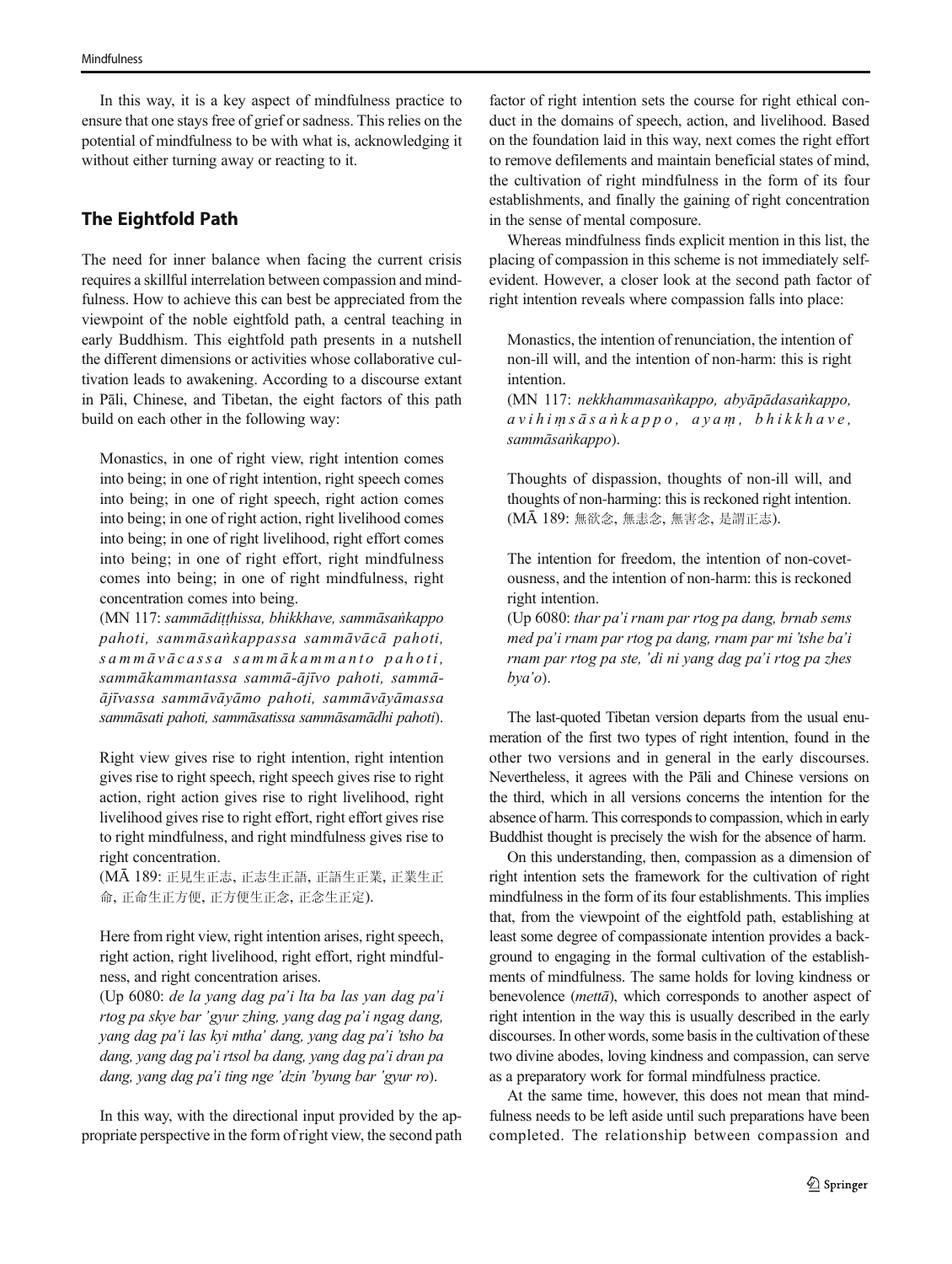In this way, it is a key aspect of mindfulness practice to ensure that one stays free of grief or sadness. This relies on the potential of mindfulness to be with what is, acknowledging it without either turning away or reacting to it.

# The Eightfold Path

The need for inner balance when facing the current crisis requires a skillful interrelation between compassion and mindfulness. How to achieve this can best be appreciated from the viewpoint of the noble eightfold path, a central teaching in early Buddhism. This eightfold path presents in a nutshell the different dimensions or activities whose collaborative cultivation leads to awakening. According to a discourse extant in Pāli, Chinese, and Tibetan, the eight factors of this path build on each other in the following way:

Monastics, in one of right view, right intention comes into being; in one of right intention, right speech comes into being; in one of right speech, right action comes into being; in one of right action, right livelihood comes into being; in one of right livelihood, right effort comes into being; in one of right effort, right mindfulness comes into being; in one of right mindfulness, right concentration comes into being.

(MN 117: sammādiṭṭhissa, bhikkhave, sammāsaṅkappo pahoti, sammāsaṅkappassa sammāvācā pahoti, samm ā v ā cassa samm ā kammanto pahoti, sammākammantassa sammā-ājīvo pahoti, sammāājīvassa sammāvāyāmo pahoti, sammāvāyāmassa sammāsati pahoti, sammāsatissa sammāsamādhi pahoti).

Right view gives rise to right intention, right intention gives rise to right speech, right speech gives rise to right action, right action gives rise to right livelihood, right livelihood gives rise to right effort, right effort gives rise to right mindfulness, and right mindfulness gives rise to right concentration.

(MĀ 189: 正見生正志, 正志生正語, 正語生正業, 正業生正 命, 正命生正方便, 正方便生正念, 正念生正定).

Here from right view, right intention arises, right speech, right action, right livelihood, right effort, right mindfulness, and right concentration arises.

(Up 6080: de la yang dag pa'i lta ba las yan dag pa'i rtog pa skye bar 'gyur zhing, yang dag pa'i ngag dang, yang dag pa'i las kyi mtha' dang, yang dag pa'i 'tsho ba dang, yang dag pa'i rtsol ba dang, yang dag pa'i dran pa dang, yang dag pa'i ting nge 'dzin 'byung bar 'gyur ro).

In this way, with the directional input provided by the appropriate perspective in the form of right view, the second path

factor of right intention sets the course for right ethical conduct in the domains of speech, action, and livelihood. Based on the foundation laid in this way, next comes the right effort to remove defilements and maintain beneficial states of mind, the cultivation of right mindfulness in the form of its four establishments, and finally the gaining of right concentration in the sense of mental composure.

Whereas mindfulness finds explicit mention in this list, the placing of compassion in this scheme is not immediately selfevident. However, a closer look at the second path factor of right intention reveals where compassion falls into place:

Monastics, the intention of renunciation, the intention of non-ill will, and the intention of non-harm: this is right intention.

(MN 117: nekkhammasaṅkappo, abyāpādasaṅkappo, avihi ṃ s ā s a ṅ kappo, aya ṃ , bhikkhave, sammāsaṅkappo).

Thoughts of dispassion, thoughts of non-ill will, and thoughts of non-harming: this is reckoned right intention. (MĀ 189: 無欲念, 無恚念, 無害念, 是謂正志).

The intention for freedom, the intention of non-covetousness, and the intention of non-harm: this is reckoned right intention.

(Up 6080: thar pa'i rnam par rtog pa dang, brnab sems med pa'i rnam par rtog pa dang, rnam par mi 'tshe ba'i rnam par rtog pa ste, 'di ni yang dag pa'i rtog pa zhes  $bva'o$ ).

The last-quoted Tibetan version departs from the usual enumeration of the first two types of right intention, found in the other two versions and in general in the early discourses. Nevertheless, it agrees with the Pāli and Chinese versions on the third, which in all versions concerns the intention for the absence of harm. This corresponds to compassion, which in early Buddhist thought is precisely the wish for the absence of harm.

On this understanding, then, compassion as a dimension of right intention sets the framework for the cultivation of right mindfulness in the form of its four establishments. This implies that, from the viewpoint of the eightfold path, establishing at least some degree of compassionate intention provides a background to engaging in the formal cultivation of the establishments of mindfulness. The same holds for loving kindness or benevolence (mettā), which corresponds to another aspect of right intention in the way this is usually described in the early discourses. In other words, some basis in the cultivation of these two divine abodes, loving kindness and compassion, can serve as a preparatory work for formal mindfulness practice.

At the same time, however, this does not mean that mindfulness needs to be left aside until such preparations have been completed. The relationship between compassion and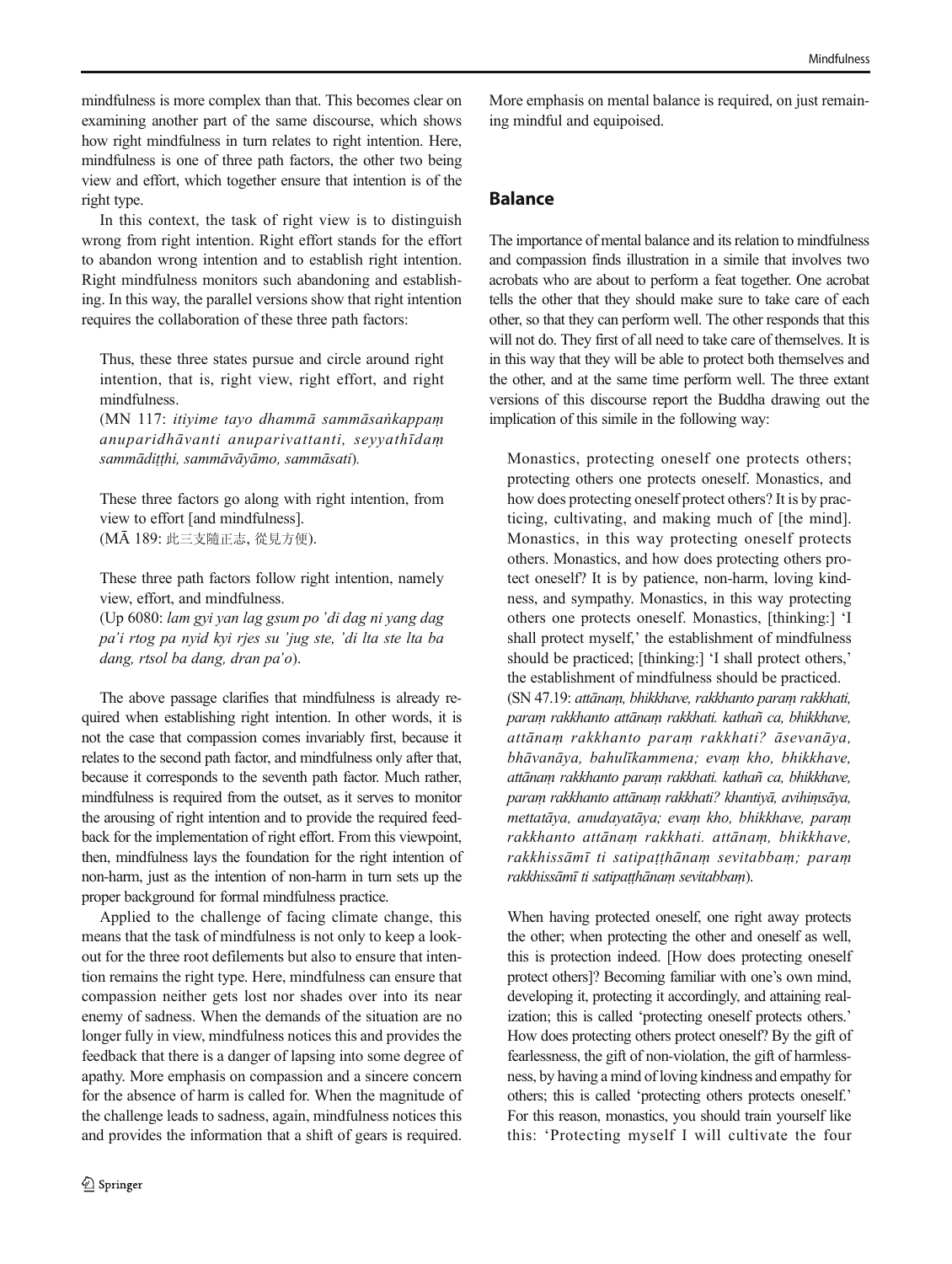mindfulness is more complex than that. This becomes clear on examining another part of the same discourse, which shows how right mindfulness in turn relates to right intention. Here, mindfulness is one of three path factors, the other two being view and effort, which together ensure that intention is of the right type.

In this context, the task of right view is to distinguish wrong from right intention. Right effort stands for the effort to abandon wrong intention and to establish right intention. Right mindfulness monitors such abandoning and establishing. In this way, the parallel versions show that right intention requires the collaboration of these three path factors:

Thus, these three states pursue and circle around right intention, that is, right view, right effort, and right mindfulness.

(MN 117: itiyime tayo dhammā sammāsaṅkappaṃ anuparidhāvanti anuparivattanti, seyyathīdaṃ sammādiṭṭhi, sammāvāyāmo, sammāsati).

These three factors go along with right intention, from view to effort [and mindfulness]. (MĀ 189: 此三支隨正志, 從見方便).

These three path factors follow right intention, namely view, effort, and mindfulness.

(Up 6080: lam gyi yan lag gsum po 'di dag ni yang dag pa'i rtog pa nyid kyi rjes su 'jug ste, 'di lta ste lta ba dang, rtsol ba dang, dran pa'o).

The above passage clarifies that mindfulness is already required when establishing right intention. In other words, it is not the case that compassion comes invariably first, because it relates to the second path factor, and mindfulness only after that, because it corresponds to the seventh path factor. Much rather, mindfulness is required from the outset, as it serves to monitor the arousing of right intention and to provide the required feedback for the implementation of right effort. From this viewpoint, then, mindfulness lays the foundation for the right intention of non-harm, just as the intention of non-harm in turn sets up the proper background for formal mindfulness practice.

Applied to the challenge of facing climate change, this means that the task of mindfulness is not only to keep a lookout for the three root defilements but also to ensure that intention remains the right type. Here, mindfulness can ensure that compassion neither gets lost nor shades over into its near enemy of sadness. When the demands of the situation are no longer fully in view, mindfulness notices this and provides the feedback that there is a danger of lapsing into some degree of apathy. More emphasis on compassion and a sincere concern for the absence of harm is called for. When the magnitude of the challenge leads to sadness, again, mindfulness notices this and provides the information that a shift of gears is required.

More emphasis on mental balance is required, on just remaining mindful and equipoised.

### Balance

The importance of mental balance and its relation to mindfulness and compassion finds illustration in a simile that involves two acrobats who are about to perform a feat together. One acrobat tells the other that they should make sure to take care of each other, so that they can perform well. The other responds that this will not do. They first of all need to take care of themselves. It is in this way that they will be able to protect both themselves and the other, and at the same time perform well. The three extant versions of this discourse report the Buddha drawing out the implication of this simile in the following way:

Monastics, protecting oneself one protects others; protecting others one protects oneself. Monastics, and how does protecting oneself protect others? It is by practicing, cultivating, and making much of [the mind]. Monastics, in this way protecting oneself protects others. Monastics, and how does protecting others protect oneself? It is by patience, non-harm, loving kindness, and sympathy. Monastics, in this way protecting others one protects oneself. Monastics, [thinking:] 'I shall protect myself,' the establishment of mindfulness should be practiced; [thinking:] 'I shall protect others,' the establishment of mindfulness should be practiced. (SN 47.19: attānaṃ, bhikkhave, rakkhanto paraṃ rakkhati, paraṃ rakkhanto attānaṃ rakkhati. kathañ ca, bhikkhave, attānaṃ rakkhanto paraṃ rakkhati? āsevanāya, bhāvanāya, bahulīkammena; evaṃ kho, bhikkhave, attānaṃ rakkhanto paraṃ rakkhati. kathañ ca, bhikkhave, paraṃ rakkhanto attānaṃ rakkhati? khantiyā, avihiṃsāya, mettatāya, anudayatāya; evaṃ kho, bhikkhave, paraṃ rakkhanto attānaṃ rakkhati. attānaṃ, bhikkhave, rakkhissāmī ti satipaṭṭhānaṃ sevitabbaṃ; paraṃ rakkhissāmī ti satipaṭṭhānaṃ sevitabbaṃ).

When having protected oneself, one right away protects the other; when protecting the other and oneself as well, this is protection indeed. [How does protecting oneself protect others]? Becoming familiar with one's own mind, developing it, protecting it accordingly, and attaining realization; this is called 'protecting oneself protects others.' How does protecting others protect oneself? By the gift of fearlessness, the gift of non-violation, the gift of harmlessness, by having a mind of loving kindness and empathy for others; this is called 'protecting others protects oneself.' For this reason, monastics, you should train yourself like this: 'Protecting myself I will cultivate the four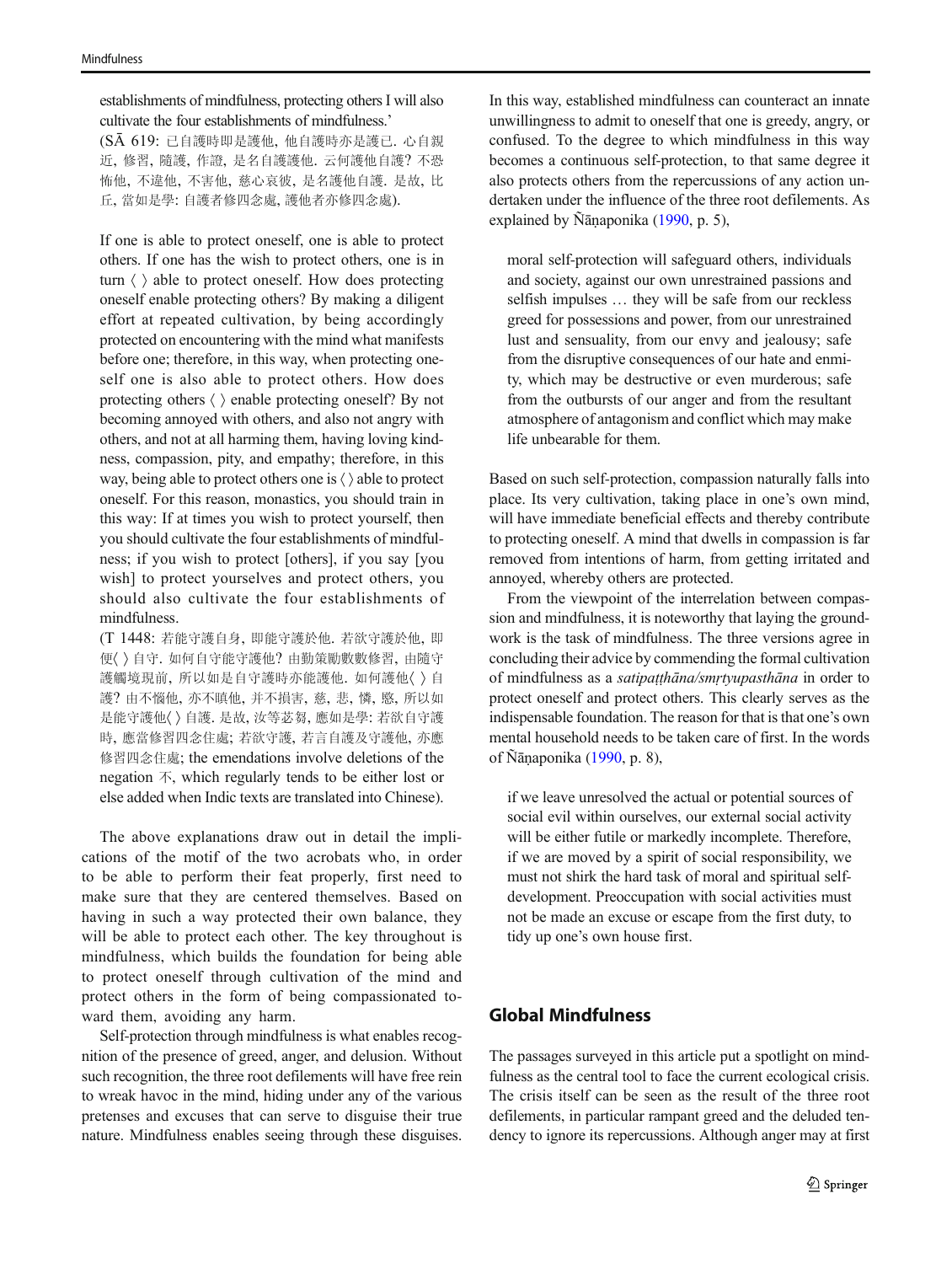establishments of mindfulness, protecting others I will also cultivate the four establishments of mindfulness.'

(SĀ 619: 已自護時即是護他, 他自護時亦是護已. 心自親 近, 修習, 隨護, 作證, 是名自護護他. 云何護他自護? 不恐 怖他, 不違他, 不害他, 慈心哀彼, 是名護他自護. 是故, 比 丘, 當如是學: 自護者修四念處, 護他者亦修四念處).

If one is able to protect oneself, one is able to protect others. If one has the wish to protect others, one is in turn  $\langle \ \rangle$  able to protect oneself. How does protecting oneself enable protecting others? By making a diligent effort at repeated cultivation, by being accordingly protected on encountering with the mind what manifests before one; therefore, in this way, when protecting oneself one is also able to protect others. How does protecting others 〈 〉 enable protecting oneself? By not becoming annoyed with others, and also not angry with others, and not at all harming them, having loving kindness, compassion, pity, and empathy; therefore, in this way, being able to protect others one is  $\langle \ \rangle$  able to protect oneself. For this reason, monastics, you should train in this way: If at times you wish to protect yourself, then you should cultivate the four establishments of mindfulness; if you wish to protect [others], if you say [you wish] to protect yourselves and protect others, you should also cultivate the four establishments of mindfulness.

(T 1448: 若能守護自身, 即能守護於他. 若欲守護於他, 即 便〈 〉 自守. 如何自守能守護他? 由勤策勵數數修習, 由隨守 護觸境現前, 所以如是自守護時亦能護他. 如何護他〈 〉 自 護? 由不惱他, 亦不瞋他, 并不損害, 慈, 悲, 憐, 愍, 所以如 是能守護他〈 〉自護. 是故, 汝等苾芻, 應如是學: 若欲自守護 時, 應當修習四念住處; 若欲守護, 若言自護及守護他, 亦應 修習四念住處; the emendations involve deletions of the negation  $\overline{\wedge}$ , which regularly tends to be either lost or else added when Indic texts are translated into Chinese).

The above explanations draw out in detail the implications of the motif of the two acrobats who, in order to be able to perform their feat properly, first need to make sure that they are centered themselves. Based on having in such a way protected their own balance, they will be able to protect each other. The key throughout is mindfulness, which builds the foundation for being able to protect oneself through cultivation of the mind and protect others in the form of being compassionated toward them, avoiding any harm.

Self-protection through mindfulness is what enables recognition of the presence of greed, anger, and delusion. Without such recognition, the three root defilements will have free rein to wreak havoc in the mind, hiding under any of the various pretenses and excuses that can serve to disguise their true nature. Mindfulness enables seeing through these disguises.

In this way, established mindfulness can counteract an innate unwillingness to admit to oneself that one is greedy, angry, or confused. To the degree to which mindfulness in this way becomes a continuous self-protection, to that same degree it also protects others from the repercussions of any action undertaken under the influence of the three root defilements. As explained by Ñāṇaponika ([1990](#page-9-0), p. 5),

moral self-protection will safeguard others, individuals and society, against our own unrestrained passions and selfish impulses … they will be safe from our reckless greed for possessions and power, from our unrestrained lust and sensuality, from our envy and jealousy; safe from the disruptive consequences of our hate and enmity, which may be destructive or even murderous; safe from the outbursts of our anger and from the resultant atmosphere of antagonism and conflict which may make life unbearable for them.

Based on such self-protection, compassion naturally falls into place. Its very cultivation, taking place in one's own mind, will have immediate beneficial effects and thereby contribute to protecting oneself. A mind that dwells in compassion is far removed from intentions of harm, from getting irritated and annoyed, whereby others are protected.

From the viewpoint of the interrelation between compassion and mindfulness, it is noteworthy that laying the groundwork is the task of mindfulness. The three versions agree in concluding their advice by commending the formal cultivation of mindfulness as a satipaṭṭhāna/smṛtyupasthāna in order to protect oneself and protect others. This clearly serves as the indispensable foundation. The reason for that is that one's own mental household needs to be taken care of first. In the words of Ñāṇaponika ([1990](#page-9-0), p. 8),

if we leave unresolved the actual or potential sources of social evil within ourselves, our external social activity will be either futile or markedly incomplete. Therefore, if we are moved by a spirit of social responsibility, we must not shirk the hard task of moral and spiritual selfdevelopment. Preoccupation with social activities must not be made an excuse or escape from the first duty, to tidy up one's own house first.

## Global Mindfulness

The passages surveyed in this article put a spotlight on mindfulness as the central tool to face the current ecological crisis. The crisis itself can be seen as the result of the three root defilements, in particular rampant greed and the deluded tendency to ignore its repercussions. Although anger may at first